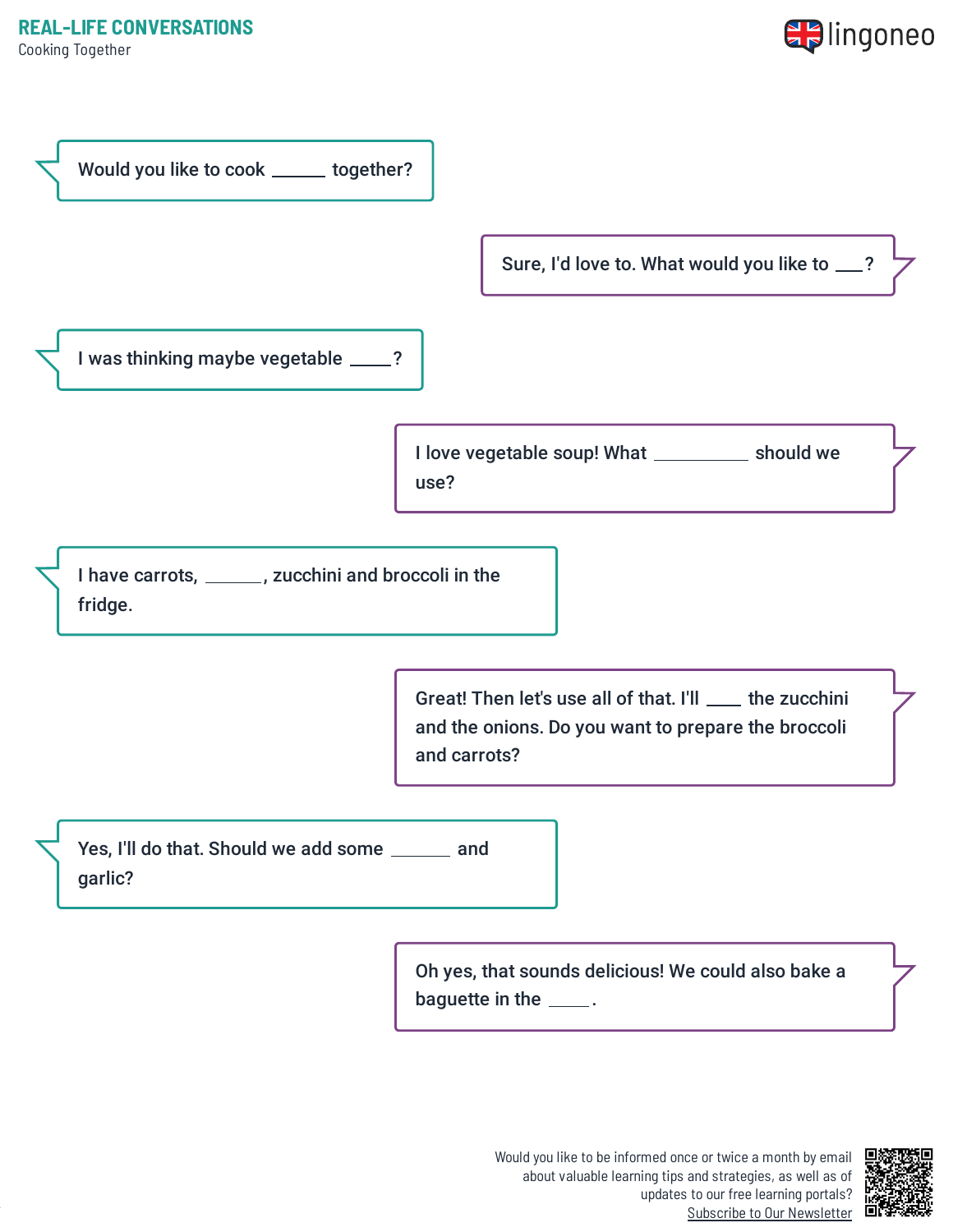Cooking Together





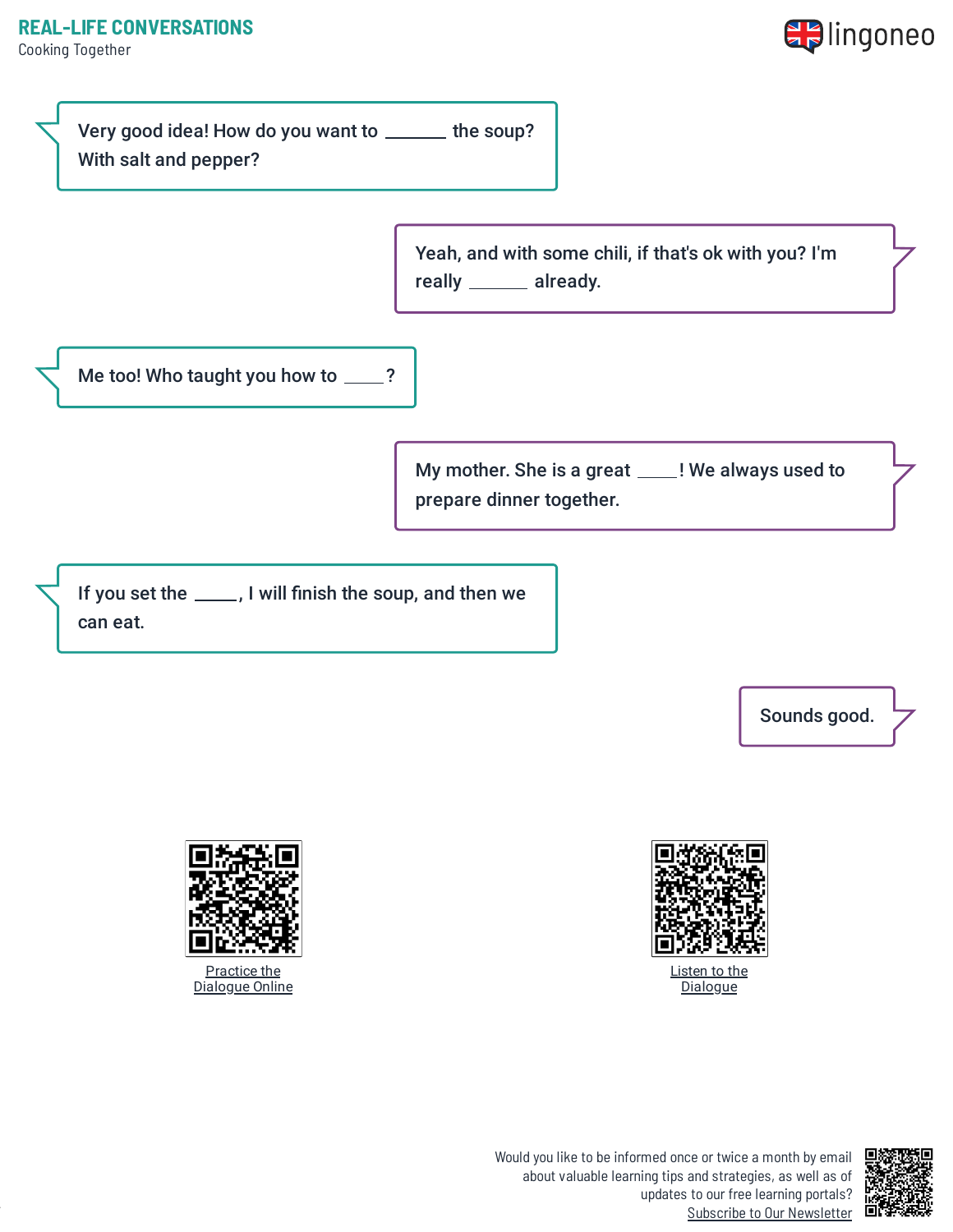Cooking Together



Very good idea! How do you want to \_\_\_\_\_ the soup? With salt and pepper? Yeah, and with some chili, if that's ok with you? I'm really \_\_\_\_\_\_ already. Me too! Who taught you how to \_\_\_\_? My mother. She is a great \_\_\_\_! We always used to prepare dinner together.

If you set the \_\_\_\_, I will finish the soup, and then we can eat.

Sounds good.



Listen to the **[Dialogue](https://www.lingoneo.org/wp-content/uploads/media/audio/audio-dialogue/en-en/Cooking%20Together%20-%20Dialogue%20(%20lingoneo.org%20).mp3)** 





Would you like to be informed once or twice a month by email about valuable learning tips and strategies, as well as of updates to our free learning portals? Subscribe to Our [Newsletter](https://www.lingoneo.org/learn-english?channel=emailcampaignnewsletter&tcontent=so-m-27&tsource=srt_source)